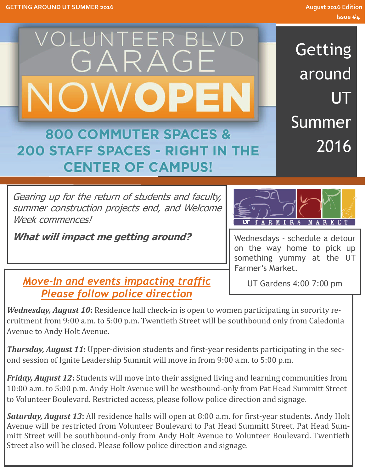

Getting around UT Summer 2016

# **800 COMMUTER SPACES & 200 STAFF SPACES - RIGHT IN THE CENTER OF CAMPUS!**

Gearing up for the return of students and faculty, summer construction projects end, and Welcome Week commences!

**What will impact me getting around?** 



Wednesdays - schedule a detour on the way home to pick up something yummy at the UT Farmer's Market.

UT Gardens 4:00–7:00 pm

*Move-In and events impacting traffic Please follow police direction* 

*Wednesday, August* 10: Residence hall check-in is open to women participating in sorority recruitment from 9:00 a.m. to 5:00 p.m. Twentieth Street will be southbound only from Caledonia Avenue to Andy Holt Avenue.

**Thursday, August 11:** Upper-division students and first-year residents participating in the second session of Ignite Leadership Summit will move in from 9:00 a.m. to 5:00 p.m.

*Friday, August* **12**: Students will move into their assigned living and learning communities from 10:00 a.m. to 5:00 p.m. Andy Holt Avenue will be westbound-only from Pat Head Summitt Street to Volunteer Boulevard. Restricted access, please follow police direction and signage.

*Saturday, August* **13**: All residence halls will open at 8:00 a.m. for first-year students. Andy Holt Avenue will be restricted from Volunteer Boulevard to Pat Head Summitt Street. Pat Head Summitt Street will be southbound-only from Andy Holt Avenue to Volunteer Boulevard. Twentieth Street also will be closed. Please follow police direction and signage.